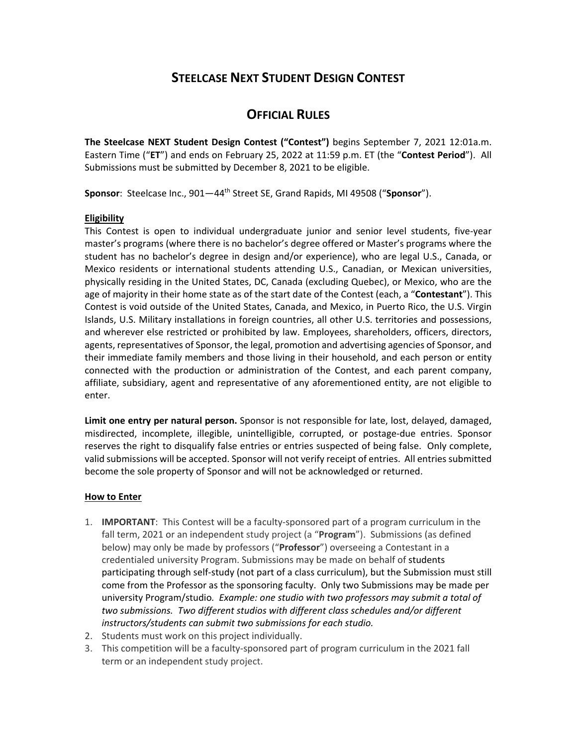# **STEELCASE NEXT STUDENT DESIGN CONTEST**

# **OFFICIAL RULES**

**The Steelcase NEXT Student Design Contest ("Contest")** begins September 7, 2021 12:01a.m. Eastern Time ("**ET**") and ends on February 25, 2022 at 11:59 p.m. ET (the "**Contest Period**"). All Submissions must be submitted by December 8, 2021 to be eligible.

**Sponsor**: Steelcase Inc., 901—44th Street SE, Grand Rapids, MI 49508 ("**Sponsor**").

## **Eligibility**

This Contest is open to individual undergraduate junior and senior level students, five‐year master's programs (where there is no bachelor's degree offered or Master's programs where the student has no bachelor's degree in design and/or experience), who are legal U.S., Canada, or Mexico residents or international students attending U.S., Canadian, or Mexican universities, physically residing in the United States, DC, Canada (excluding Quebec), or Mexico, who are the age of majority in their home state as of the start date of the Contest (each, a "**Contestant**"). This Contest is void outside of the United States, Canada, and Mexico, in Puerto Rico, the U.S. Virgin Islands, U.S. Military installations in foreign countries, all other U.S. territories and possessions, and wherever else restricted or prohibited by law. Employees, shareholders, officers, directors, agents, representatives of Sponsor, the legal, promotion and advertising agencies of Sponsor, and their immediate family members and those living in their household, and each person or entity connected with the production or administration of the Contest, and each parent company, affiliate, subsidiary, agent and representative of any aforementioned entity, are not eligible to enter.

**Limit one entry per natural person.** Sponsor is not responsible for late, lost, delayed, damaged, misdirected, incomplete, illegible, unintelligible, corrupted, or postage‐due entries. Sponsor reserves the right to disqualify false entries or entries suspected of being false. Only complete, valid submissions will be accepted. Sponsor will not verify receipt of entries. All entries submitted become the sole property of Sponsor and will not be acknowledged or returned.

## **How to Enter**

- 1. **IMPORTANT**: This Contest will be a faculty‐sponsored part of a program curriculum in the fall term, 2021 or an independent study project (a "**Program**"). Submissions (as defined below) may only be made by professors ("**Professor**") overseeing a Contestant in a credentialed university Program. Submissions may be made on behalf of students participating through self‐study (not part of a class curriculum), but the Submission must still come from the Professor as the sponsoring faculty. Only two Submissions may be made per university Program/studio*. Example: one studio with two professors may submit a total of two submissions. Two different studios with different class schedules and/or different instructors/students can submit two submissions for each studio.*
- 2. Students must work on this project individually.
- 3. This competition will be a faculty‐sponsored part of program curriculum in the 2021 fall term or an independent study project.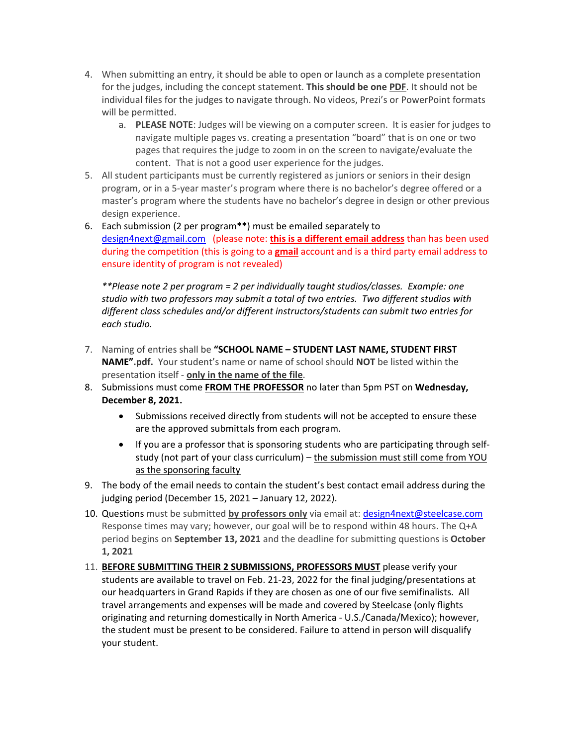- 4. When submitting an entry, it should be able to open or launch as a complete presentation for the judges, including the concept statement. **This should be one PDF**. It should not be individual files for the judges to navigate through. No videos, Prezi's or PowerPoint formats will be permitted.
	- a. **PLEASE NOTE**: Judges will be viewing on a computer screen. It is easier for judges to navigate multiple pages vs. creating a presentation "board" that is on one or two pages that requires the judge to zoom in on the screen to navigate/evaluate the content. That is not a good user experience for the judges.
- 5. All student participants must be currently registered as juniors or seniors in their design program, or in a 5‐year master's program where there is no bachelor's degree offered or a master's program where the students have no bachelor's degree in design or other previous design experience.
- 6. Each submission (2 per program**\*\***) must be emailed separately to design4next@gmail.com (please note: **this is a different email address** than has been used during the competition (this is going to a **gmail** account and is a third party email address to ensure identity of program is not revealed)

*\*\*Please note 2 per program = 2 per individually taught studios/classes. Example: one studio with two professors may submit a total of two entries. Two different studios with different class schedules and/or different instructors/students can submit two entries for each studio.*

- 7. Naming of entries shall be **"SCHOOL NAME – STUDENT LAST NAME, STUDENT FIRST NAME".pdf.** Your student's name or name of school should **NOT** be listed within the presentation itself ‐ **only in the name of the file**.
- 8. Submissions must come **FROM THE PROFESSOR** no later than 5pm PST on **Wednesday, December 8, 2021.**
	- Submissions received directly from students will not be accepted to ensure these are the approved submittals from each program.
	- If you are a professor that is sponsoring students who are participating through selfstudy (not part of your class curriculum) – the submission must still come from YOU as the sponsoring faculty
- 9. The body of the email needs to contain the student's best contact email address during the judging period (December 15, 2021 – January 12, 2022).
- 10. Questions must be submitted **by professors only** via email at: design4next@steelcase.com Response times may vary; however, our goal will be to respond within 48 hours. The Q+A period begins on **September 13, 2021** and the deadline for submitting questions is **October 1, 2021**
- 11. **BEFORE SUBMITTING THEIR 2 SUBMISSIONS, PROFESSORS MUST** please verify your students are available to travel on Feb. 21‐23, 2022 for the final judging/presentations at our headquarters in Grand Rapids if they are chosen as one of our five semifinalists. All travel arrangements and expenses will be made and covered by Steelcase (only flights originating and returning domestically in North America ‐ U.S./Canada/Mexico); however, the student must be present to be considered. Failure to attend in person will disqualify your student.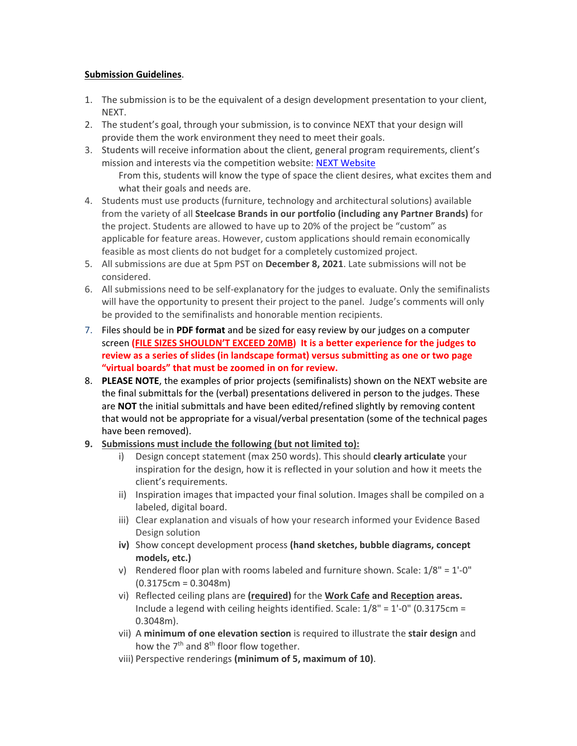# **Submission Guidelines**.

- 1. The submission is to be the equivalent of a design development presentation to your client, NEXT.
- 2. The student's goal, through your submission, is to convince NEXT that your design will provide them the work environment they need to meet their goals.
- 3. Students will receive information about the client, general program requirements, client's mission and interests via the competition website: NEXT Website From this, students will know the type of space the client desires, what excites them and

what their goals and needs are.

- 4. Students must use products (furniture, technology and architectural solutions) available from the variety of all **Steelcase Brands in our portfolio (including any Partner Brands)** for the project. Students are allowed to have up to 20% of the project be "custom" as applicable for feature areas. However, custom applications should remain economically feasible as most clients do not budget for a completely customized project.
- 5. All submissions are due at 5pm PST on **December 8, 2021**. Late submissions will not be considered.
- 6. All submissions need to be self‐explanatory for the judges to evaluate. Only the semifinalists will have the opportunity to present their project to the panel. Judge's comments will only be provided to the semifinalists and honorable mention recipients.
- 7. Files should be in **PDF format** and be sized for easy review by our judges on a computer screen **(FILE SIZES SHOULDN'T EXCEED 20MB) It is a better experience for the judges to review as a series of slides (in landscape format) versus submitting as one or two page "virtual boards" that must be zoomed in on for review.**
- 8. **PLEASE NOTE**, the examples of prior projects (semifinalists) shown on the NEXT website are the final submittals for the (verbal) presentations delivered in person to the judges. These are **NOT** the initial submittals and have been edited/refined slightly by removing content that would not be appropriate for a visual/verbal presentation (some of the technical pages have been removed).
- **9. Submissions must include the following (but not limited to):**
	- i) Design concept statement (max 250 words). This should **clearly articulate** your inspiration for the design, how it is reflected in your solution and how it meets the client's requirements.
	- ii) Inspiration images that impacted your final solution. Images shall be compiled on a labeled, digital board.
	- iii) Clear explanation and visuals of how your research informed your Evidence Based Design solution
	- **iv)** Show concept development process **(hand sketches, bubble diagrams, concept models, etc.)**
	- v) Rendered floor plan with rooms labeled and furniture shown. Scale:  $1/8" = 1'-0"$ (0.3175cm = 0.3048m)
	- vi) Reflected ceiling plans are **(required)** for the **Work Cafe and Reception areas.** Include a legend with ceiling heights identified. Scale:  $1/8" = 1'-0"$  (0.3175cm = 0.3048m).
	- vii) A **minimum of one elevation section** is required to illustrate the **stair design** and how the  $7<sup>th</sup>$  and  $8<sup>th</sup>$  floor flow together.
	- viii) Perspective renderings **(minimum of 5, maximum of 10)**.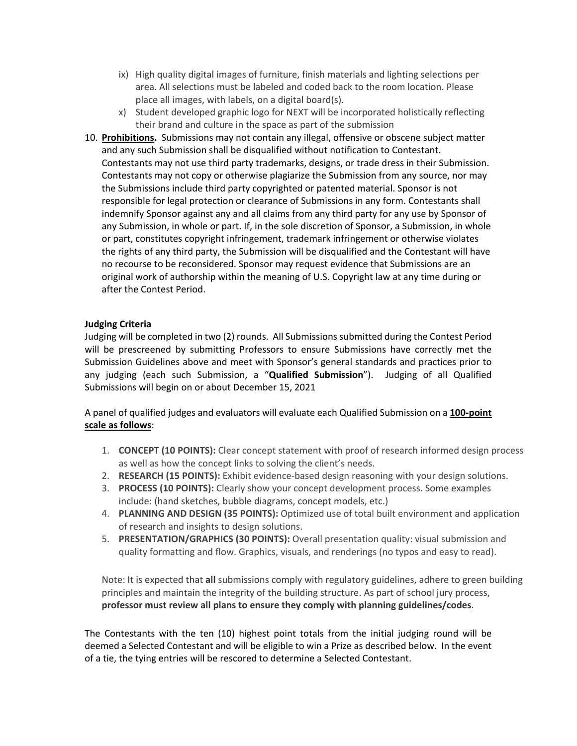- ix) High quality digital images of furniture, finish materials and lighting selections per area. All selections must be labeled and coded back to the room location. Please place all images, with labels, on a digital board(s).
- x) Student developed graphic logo for NEXT will be incorporated holistically reflecting their brand and culture in the space as part of the submission
- 10. **Prohibitions.** Submissions may not contain any illegal, offensive or obscene subject matter and any such Submission shall be disqualified without notification to Contestant. Contestants may not use third party trademarks, designs, or trade dress in their Submission. Contestants may not copy or otherwise plagiarize the Submission from any source, nor may the Submissions include third party copyrighted or patented material. Sponsor is not responsible for legal protection or clearance of Submissions in any form. Contestants shall indemnify Sponsor against any and all claims from any third party for any use by Sponsor of any Submission, in whole or part. If, in the sole discretion of Sponsor, a Submission, in whole or part, constitutes copyright infringement, trademark infringement or otherwise violates the rights of any third party, the Submission will be disqualified and the Contestant will have no recourse to be reconsidered. Sponsor may request evidence that Submissions are an original work of authorship within the meaning of U.S. Copyright law at any time during or after the Contest Period.

# **Judging Criteria**

Judging will be completed in two (2) rounds. All Submissionssubmitted during the Contest Period will be prescreened by submitting Professors to ensure Submissions have correctly met the Submission Guidelines above and meet with Sponsor's general standards and practices prior to any judging (each such Submission, a "**Qualified Submission**"). Judging of all Qualified Submissions will begin on or about December 15, 2021

A panel of qualified judges and evaluators will evaluate each Qualified Submission on a **100‐point scale as follows**:

- 1. **CONCEPT (10 POINTS):** Clear concept statement with proof of research informed design process as well as how the concept links to solving the client's needs.
- 2. **RESEARCH (15 POINTS):** Exhibit evidence‐based design reasoning with your design solutions.
- 3. **PROCESS (10 POINTS):** Clearly show your concept development process. Some examples include: (hand sketches, bubble diagrams, concept models, etc.)
- 4. **PLANNING AND DESIGN (35 POINTS):** Optimized use of total built environment and application of research and insights to design solutions.
- 5. **PRESENTATION/GRAPHICS (30 POINTS):** Overall presentation quality: visual submission and quality formatting and flow. Graphics, visuals, and renderings (no typos and easy to read).

Note: It is expected that **all** submissions comply with regulatory guidelines, adhere to green building principles and maintain the integrity of the building structure. As part of school jury process, **professor must review all plans to ensure they comply with planning guidelines/codes**.

The Contestants with the ten (10) highest point totals from the initial judging round will be deemed a Selected Contestant and will be eligible to win a Prize as described below. In the event of a tie, the tying entries will be rescored to determine a Selected Contestant.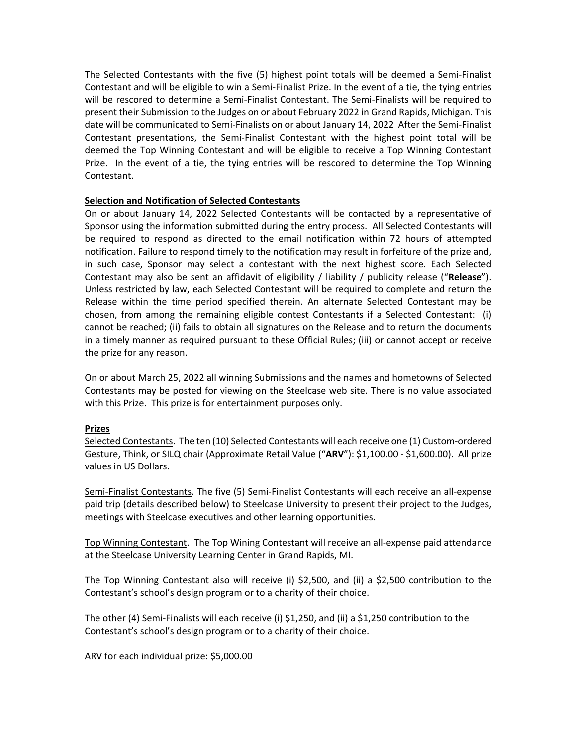The Selected Contestants with the five (5) highest point totals will be deemed a Semi‐Finalist Contestant and will be eligible to win a Semi‐Finalist Prize. In the event of a tie, the tying entries will be rescored to determine a Semi‐Finalist Contestant. The Semi‐Finalists will be required to present their Submission to the Judges on or about February 2022 in Grand Rapids, Michigan. This date will be communicated to Semi‐Finalists on or about January 14, 2022 After the Semi‐Finalist Contestant presentations, the Semi‐Finalist Contestant with the highest point total will be deemed the Top Winning Contestant and will be eligible to receive a Top Winning Contestant Prize. In the event of a tie, the tying entries will be rescored to determine the Top Winning Contestant.

## **Selection and Notification of Selected Contestants**

On or about January 14, 2022 Selected Contestants will be contacted by a representative of Sponsor using the information submitted during the entry process. All Selected Contestants will be required to respond as directed to the email notification within 72 hours of attempted notification. Failure to respond timely to the notification may result in forfeiture of the prize and, in such case, Sponsor may select a contestant with the next highest score. Each Selected Contestant may also be sent an affidavit of eligibility / liability / publicity release ("**Release**"). Unless restricted by law, each Selected Contestant will be required to complete and return the Release within the time period specified therein. An alternate Selected Contestant may be chosen, from among the remaining eligible contest Contestants if a Selected Contestant: (i) cannot be reached; (ii) fails to obtain all signatures on the Release and to return the documents in a timely manner as required pursuant to these Official Rules; (iii) or cannot accept or receive the prize for any reason.

On or about March 25, 2022 all winning Submissions and the names and hometowns of Selected Contestants may be posted for viewing on the Steelcase web site. There is no value associated with this Prize. This prize is for entertainment purposes only.

#### **Prizes**

Selected Contestants. The ten (10) Selected Contestants will each receive one (1) Custom‐ordered Gesture, Think, or SILQ chair (Approximate Retail Value ("**ARV**"): \$1,100.00 ‐ \$1,600.00). All prize values in US Dollars.

Semi-Finalist Contestants. The five (5) Semi-Finalist Contestants will each receive an all-expense paid trip (details described below) to Steelcase University to present their project to the Judges, meetings with Steelcase executives and other learning opportunities.

Top Winning Contestant. The Top Wining Contestant will receive an all‐expense paid attendance at the Steelcase University Learning Center in Grand Rapids, MI.

The Top Winning Contestant also will receive (i) \$2,500, and (ii) a \$2,500 contribution to the Contestant's school's design program or to a charity of their choice.

The other (4) Semi‐Finalists will each receive (i) \$1,250, and (ii) a \$1,250 contribution to the Contestant's school's design program or to a charity of their choice.

ARV for each individual prize: \$5,000.00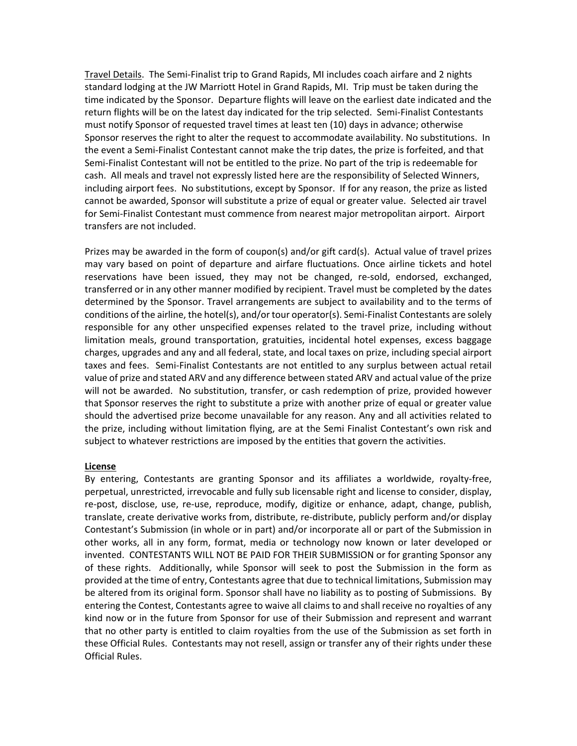Travel Details. The Semi‐Finalist trip to Grand Rapids, MI includes coach airfare and 2 nights standard lodging at the JW Marriott Hotel in Grand Rapids, MI. Trip must be taken during the time indicated by the Sponsor. Departure flights will leave on the earliest date indicated and the return flights will be on the latest day indicated for the trip selected. Semi‐Finalist Contestants must notify Sponsor of requested travel times at least ten (10) days in advance; otherwise Sponsor reserves the right to alter the request to accommodate availability. No substitutions. In the event a Semi‐Finalist Contestant cannot make the trip dates, the prize is forfeited, and that Semi-Finalist Contestant will not be entitled to the prize. No part of the trip is redeemable for cash. All meals and travel not expressly listed here are the responsibility of Selected Winners, including airport fees. No substitutions, except by Sponsor. If for any reason, the prize as listed cannot be awarded, Sponsor will substitute a prize of equal or greater value. Selected air travel for Semi‐Finalist Contestant must commence from nearest major metropolitan airport. Airport transfers are not included.

Prizes may be awarded in the form of coupon(s) and/or gift card(s). Actual value of travel prizes may vary based on point of departure and airfare fluctuations. Once airline tickets and hotel reservations have been issued, they may not be changed, re-sold, endorsed, exchanged, transferred or in any other manner modified by recipient. Travel must be completed by the dates determined by the Sponsor. Travel arrangements are subject to availability and to the terms of conditions of the airline, the hotel(s), and/or tour operator(s). Semi‐Finalist Contestants are solely responsible for any other unspecified expenses related to the travel prize, including without limitation meals, ground transportation, gratuities, incidental hotel expenses, excess baggage charges, upgrades and any and all federal, state, and local taxes on prize, including special airport taxes and fees. Semi‐Finalist Contestants are not entitled to any surplus between actual retail value of prize and stated ARV and any difference between stated ARV and actual value of the prize will not be awarded. No substitution, transfer, or cash redemption of prize, provided however that Sponsor reserves the right to substitute a prize with another prize of equal or greater value should the advertised prize become unavailable for any reason. Any and all activities related to the prize, including without limitation flying, are at the Semi Finalist Contestant's own risk and subject to whatever restrictions are imposed by the entities that govern the activities.

#### **License**

By entering, Contestants are granting Sponsor and its affiliates a worldwide, royalty‐free, perpetual, unrestricted, irrevocable and fully sub licensable right and license to consider, display, re‐post, disclose, use, re‐use, reproduce, modify, digitize or enhance, adapt, change, publish, translate, create derivative works from, distribute, re‐distribute, publicly perform and/or display Contestant's Submission (in whole or in part) and/or incorporate all or part of the Submission in other works, all in any form, format, media or technology now known or later developed or invented. CONTESTANTS WILL NOT BE PAID FOR THEIR SUBMISSION or for granting Sponsor any of these rights. Additionally, while Sponsor will seek to post the Submission in the form as provided at the time of entry, Contestants agree that due to technical limitations, Submission may be altered from its original form. Sponsor shall have no liability as to posting of Submissions. By entering the Contest, Contestants agree to waive all claims to and shall receive no royalties of any kind now or in the future from Sponsor for use of their Submission and represent and warrant that no other party is entitled to claim royalties from the use of the Submission as set forth in these Official Rules. Contestants may not resell, assign or transfer any of their rights under these Official Rules.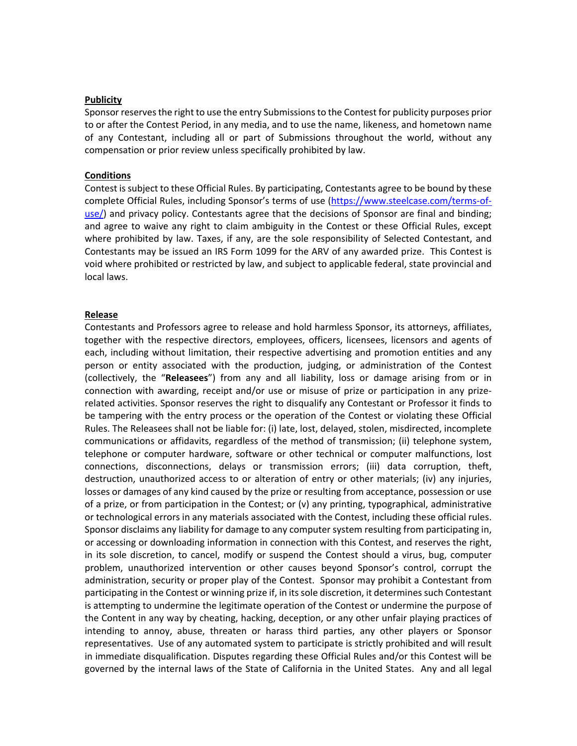#### **Publicity**

Sponsor reservesthe right to use the entry Submissionsto the Contest for publicity purposes prior to or after the Contest Period, in any media, and to use the name, likeness, and hometown name of any Contestant, including all or part of Submissions throughout the world, without any compensation or prior review unless specifically prohibited by law.

#### **Conditions**

Contest issubject to these Official Rules. By participating, Contestants agree to be bound by these complete Official Rules, including Sponsor's terms of use (https://www.steelcase.com/terms‐of‐ use/) and privacy policy. Contestants agree that the decisions of Sponsor are final and binding; and agree to waive any right to claim ambiguity in the Contest or these Official Rules, except where prohibited by law. Taxes, if any, are the sole responsibility of Selected Contestant, and Contestants may be issued an IRS Form 1099 for the ARV of any awarded prize. This Contest is void where prohibited or restricted by law, and subject to applicable federal, state provincial and local laws.

#### **Release**

Contestants and Professors agree to release and hold harmless Sponsor, its attorneys, affiliates, together with the respective directors, employees, officers, licensees, licensors and agents of each, including without limitation, their respective advertising and promotion entities and any person or entity associated with the production, judging, or administration of the Contest (collectively, the "**Releasees**") from any and all liability, loss or damage arising from or in connection with awarding, receipt and/or use or misuse of prize or participation in any prize‐ related activities. Sponsor reserves the right to disqualify any Contestant or Professor it finds to be tampering with the entry process or the operation of the Contest or violating these Official Rules. The Releasees shall not be liable for: (i) late, lost, delayed, stolen, misdirected, incomplete communications or affidavits, regardless of the method of transmission; (ii) telephone system, telephone or computer hardware, software or other technical or computer malfunctions, lost connections, disconnections, delays or transmission errors; (iii) data corruption, theft, destruction, unauthorized access to or alteration of entry or other materials; (iv) any injuries, losses or damages of any kind caused by the prize or resulting from acceptance, possession or use of a prize, or from participation in the Contest; or (v) any printing, typographical, administrative or technological errors in any materials associated with the Contest, including these official rules. Sponsor disclaims any liability for damage to any computer system resulting from participating in, or accessing or downloading information in connection with this Contest, and reserves the right, in its sole discretion, to cancel, modify or suspend the Contest should a virus, bug, computer problem, unauthorized intervention or other causes beyond Sponsor's control, corrupt the administration, security or proper play of the Contest. Sponsor may prohibit a Contestant from participating in the Contest or winning prize if, in its sole discretion, it determines such Contestant is attempting to undermine the legitimate operation of the Contest or undermine the purpose of the Content in any way by cheating, hacking, deception, or any other unfair playing practices of intending to annoy, abuse, threaten or harass third parties, any other players or Sponsor representatives. Use of any automated system to participate is strictly prohibited and will result in immediate disqualification. Disputes regarding these Official Rules and/or this Contest will be governed by the internal laws of the State of California in the United States. Any and all legal